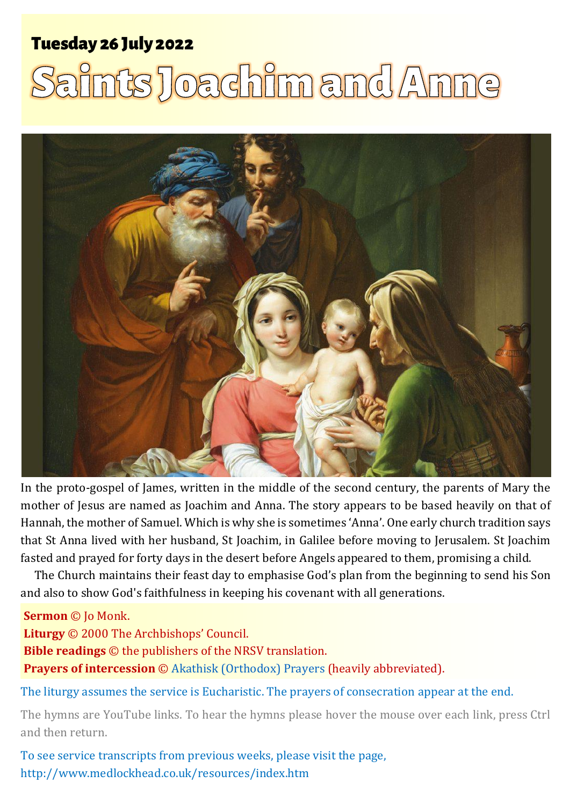# **Tuesday 26 July 2022**

# Saints Joachim and Anne



In the proto-gospel of James, written in the middle of the second century, the parents of Mary the mother of Jesus are named as Joachim and Anna. The story appears to be based heavily on that of Hannah, the mother of Samuel. Which is why she is sometimes 'Anna'. One early church tradition says that St Anna lived with her husband, St Joachim, in Galilee before moving to Jerusalem. St Joachim fasted and prayed for forty days in the desert before Angels appeared to them, promising a child.

The Church maintains their feast day to emphasise God's plan from the beginning to send his Son and also to show God's faithfulness in keeping his covenant with all generations.

#### **Sermon** © Jo Monk.

**Liturgy** © 2000 The Archbishops' Council. **Bible readings** © the publishers of the NRSV translation. **Prayers of intercession** © [Akathisk \(Orthodox\)](https://pravoslavie.ru/99661.html) Prayers (heavily abbreviated).

The liturgy assumes the service is Eucharistic. The prayers of consecration appear at the end.

The hymns are YouTube links. To hear the hymns please hover the mouse over each link, press Ctrl and then return.

To see service transcripts from previous weeks, please visit the page, <http://www.medlockhead.co.uk/resources/index.htm>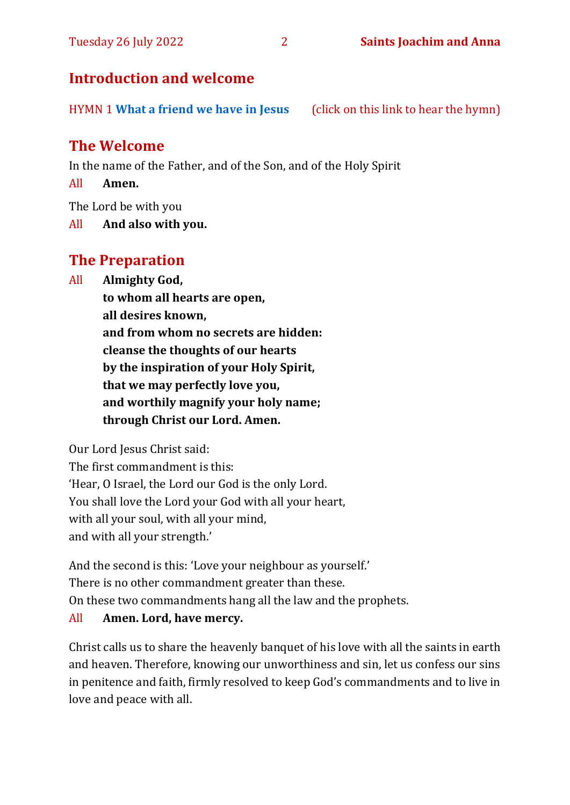#### Tuesday 26 July 2022 2 **Saints Joachim and Anna**

#### **Introduction and welcome**

HYMN 1 **[What a friend we have in Jesus](https://youtu.be/LarFhGeE-ac)** (click on this link to hear the hymn)

# **The Welcome**

In the name of the Father, and of the Son, and of the Holy Spirit

All **Amen.**

The Lord be with you

All **And also with you.**

# **The Preparation**

All **Almighty God,**

**to whom all hearts are open, all desires known, and from whom no secrets are hidden: cleanse the thoughts of our hearts by the inspiration of your Holy Spirit, that we may perfectly love you, and worthily magnify your holy name; through Christ our Lord. Amen.**

Our Lord Jesus Christ said:

The first commandment is this: 'Hear, O Israel, the Lord our God is the only Lord. You shall love the Lord your God with all your heart, with all your soul, with all your mind, and with all your strength.'

And the second is this: 'Love your neighbour as yourself.' There is no other commandment greater than these. On these two commandments hang all the law and the prophets.

#### All **Amen. Lord, have mercy.**

Christ calls us to share the heavenly banquet of his love with all the saints in earth and heaven. Therefore, knowing our unworthiness and sin, let us confess our sins in penitence and faith, firmly resolved to keep God's commandments and to live in love and peace with all.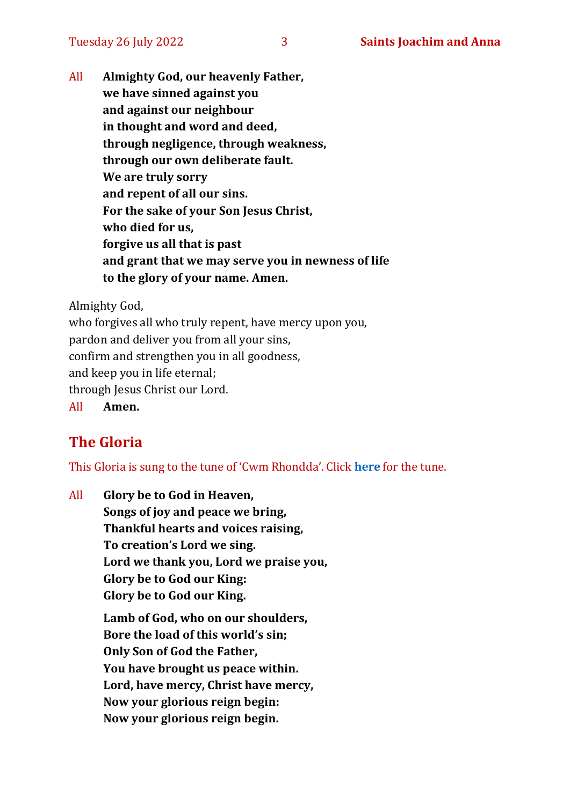All **Almighty God, our heavenly Father, we have sinned against you and against our neighbour in thought and word and deed, through negligence, through weakness, through our own deliberate fault. We are truly sorry and repent of all our sins. For the sake of your Son Jesus Christ, who died for us, forgive us all that is past and grant that we may serve you in newness of life to the glory of your name. Amen.**

Almighty God,

who forgives all who truly repent, have mercy upon you, pardon and deliver you from all your sins, confirm and strengthen you in all goodness, and keep you in life eternal; through Jesus Christ our Lord.

All **Amen.**

# **The Gloria**

This Gloria is sung to the tune of 'Cwm Rhondda'. Click **[here](https://www.youtube.com/watch?v=l71MLQ22dIk)** for the tune.

All **Glory be to God in Heaven, Songs of joy and peace we bring, Thankful hearts and voices raising, To creation's Lord we sing. Lord we thank you, Lord we praise you, Glory be to God our King: Glory be to God our King.**

> **Lamb of God, who on our shoulders, Bore the load of this world's sin; Only Son of God the Father, You have brought us peace within. Lord, have mercy, Christ have mercy, Now your glorious reign begin: Now your glorious reign begin.**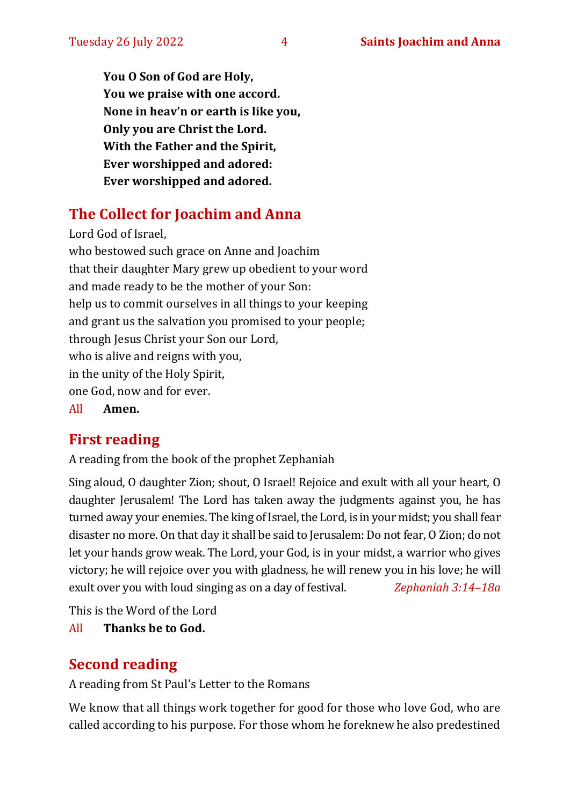**You O Son of God are Holy, You we praise with one accord. None in heav'n or earth is like you, Only you are Christ the Lord. With the Father and the Spirit, Ever worshipped and adored: Ever worshipped and adored.**

# **The Collect for Joachim and Anna**

Lord God of Israel, who bestowed such grace on Anne and Joachim that their daughter Mary grew up obedient to your word and made ready to be the mother of your Son: help us to commit ourselves in all things to your keeping and grant us the salvation you promised to your people; through Jesus Christ your Son our Lord, who is alive and reigns with you, in the unity of the Holy Spirit, one God, now and for ever. All **Amen.**

# **First reading**

A reading from the book of the prophet Zephaniah

Sing aloud, O daughter Zion; shout, O Israel! Rejoice and exult with all your heart, O daughter Jerusalem! The Lord has taken away the judgments against you, he has turned away your enemies. The king of Israel, the Lord, is in your midst; you shall fear disaster no more. On that day it shall be said to Jerusalem: Do not fear, O Zion; do not let your hands grow weak. The Lord, your God, is in your midst, a warrior who gives victory; he will rejoice over you with gladness, he will renew you in his love; he will exult over you with loud singing as on a day of festival. *Zephaniah 3:14–18a*

This is the Word of the Lord

All **Thanks be to God.**

# **Second reading**

A reading from St Paul's Letter to the Romans

We know that all things work together for good for those who love God, who are called according to his purpose. For those whom he foreknew he also predestined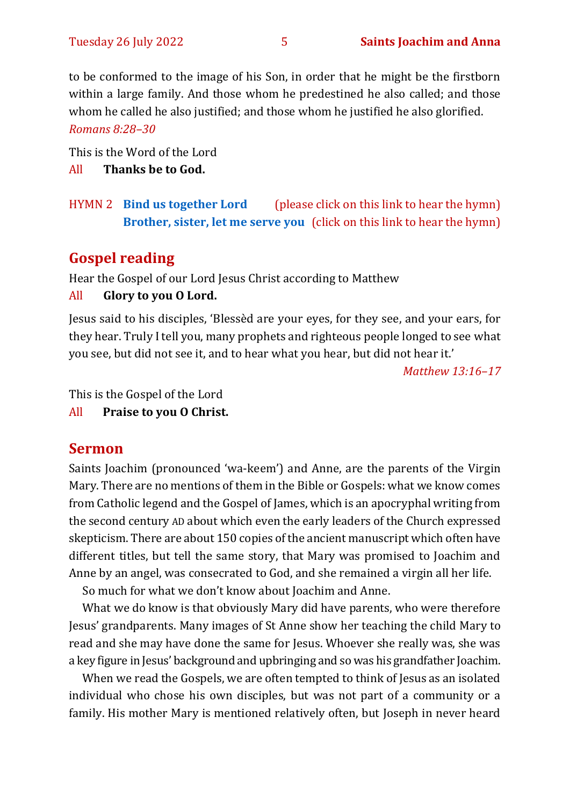to be conformed to the image of his Son, in order that he might be the firstborn within a large family. And those whom he predestined he also called; and those whom he called he also justified; and those whom he justified he also glorified.

*Romans 8:28–30*

This is the Word of the Lord

All **Thanks be to God.**

HYMN 2 **[Bind us together Lord](https://youtu.be/IHJJzD46-qU)** (please click on this link to hear the hymn) **[Brother, sister, let me serve you](https://youtu.be/QO92Lw9v8PE)** (click on this link to hear the hymn)

## **Gospel reading**

Hear the Gospel of our Lord Jesus Christ according to Matthew

#### All **Glory to you O Lord.**

Jesus said to his disciples, 'Blessèd are your eyes, for they see, and your ears, for they hear. Truly I tell you, many prophets and righteous people longed to see what you see, but did not see it, and to hear what you hear, but did not hear it.'

*Matthew 13:16–17*

This is the Gospel of the Lord

All **Praise to you O Christ.** 

#### **Sermon**

Saints Joachim (pronounced 'wa-keem') and Anne, are the parents of the Virgin Mary. There are no mentions of them in the Bible or Gospels: what we know comes from Catholic legend and the Gospel of James, which is an apocryphal writing from the second century AD about which even the early leaders of the Church expressed skepticism. There are about 150 copies of the ancient manuscript which often have different titles, but tell the same story, that Mary was promised to Joachim and Anne by an angel, was consecrated to God, and she remained a virgin all her life.

So much for what we don't know about Joachim and Anne.

What we do know is that obviously Mary did have parents, who were therefore Jesus' grandparents. Many images of St Anne show her teaching the child Mary to read and she may have done the same for Jesus. Whoever she really was, she was a key figure in Jesus' background and upbringing and so was his grandfather Joachim.

When we read the Gospels, we are often tempted to think of Jesus as an isolated individual who chose his own disciples, but was not part of a community or a family. His mother Mary is mentioned relatively often, but Joseph in never heard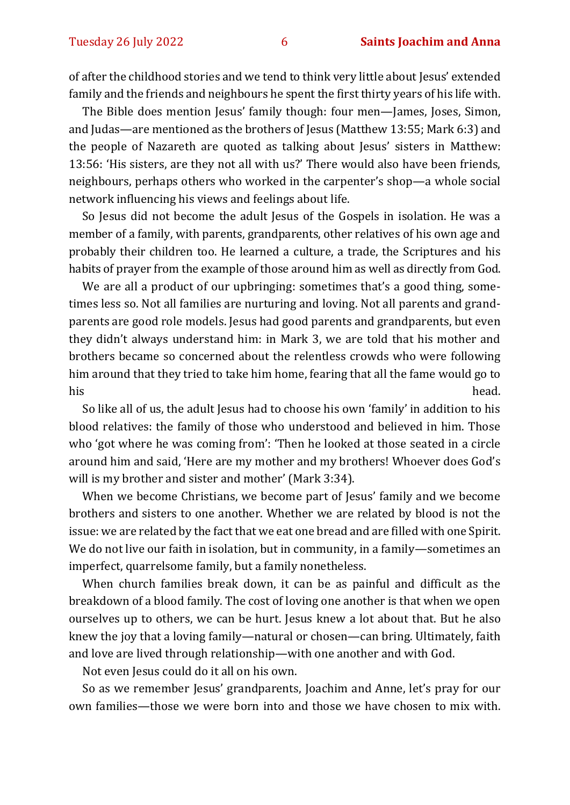of after the childhood stories and we tend to think very little about Jesus' extended family and the friends and neighbours he spent the first thirty years of his life with.

The Bible does mention Jesus' family though: four men—James, Joses, Simon, and Judas—are mentioned as the brothers of Jesus (Matthew 13:55; Mark 6:3) and the people of Nazareth are quoted as talking about Jesus' sisters in Matthew: 13:56: 'His sisters, are they not all with us?' There would also have been friends, neighbours, perhaps others who worked in the carpenter's shop—a whole social network influencing his views and feelings about life.

So Jesus did not become the adult Jesus of the Gospels in isolation. He was a member of a family, with parents, grandparents, other relatives of his own age and probably their children too. He learned a culture, a trade, the Scriptures and his habits of prayer from the example of those around him as well as directly from God.

We are all a product of our upbringing: sometimes that's a good thing, sometimes less so. Not all families are nurturing and loving. Not all parents and grandparents are good role models. Jesus had good parents and grandparents, but even they didn't always understand him: in Mark 3, we are told that his mother and brothers became so concerned about the relentless crowds who were following him around that they tried to take him home, fearing that all the fame would go to his head.

So like all of us, the adult Jesus had to choose his own 'family' in addition to his blood relatives: the family of those who understood and believed in him. Those who 'got where he was coming from': 'Then he looked at those seated in a circle around him and said, 'Here are my mother and my brothers! Whoever does God's will is my brother and sister and mother' (Mark 3:34).

When we become Christians, we become part of Jesus' family and we become brothers and sisters to one another. Whether we are related by blood is not the issue: we are related by the fact that we eat one bread and are filled with one Spirit. We do not live our faith in isolation, but in community, in a family—sometimes an imperfect, quarrelsome family, but a family nonetheless.

When church families break down, it can be as painful and difficult as the breakdown of a blood family. The cost of loving one another is that when we open ourselves up to others, we can be hurt. Jesus knew a lot about that. But he also knew the joy that a loving family—natural or chosen—can bring. Ultimately, faith and love are lived through relationship—with one another and with God.

Not even Jesus could do it all on his own.

So as we remember Jesus' grandparents, Joachim and Anne, let's pray for our own families—those we were born into and those we have chosen to mix with.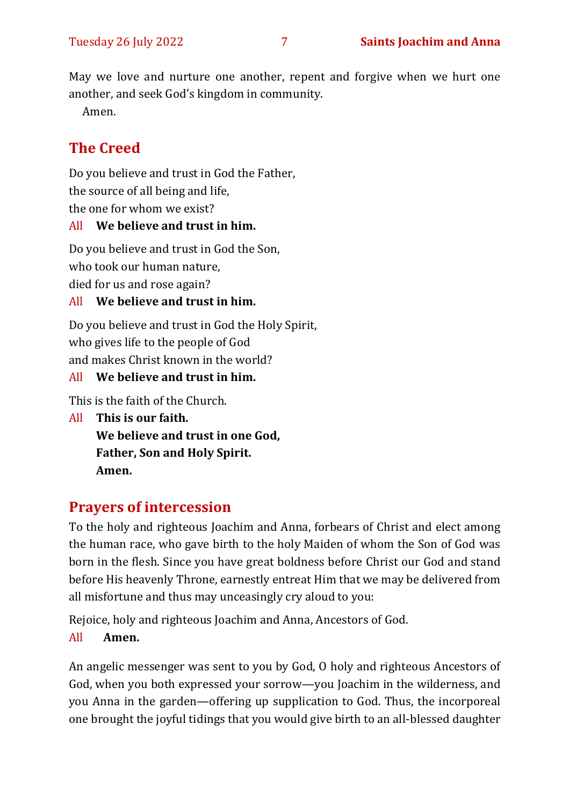May we love and nurture one another, repent and forgive when we hurt one another, and seek God's kingdom in community.

Amen.

# **The Creed**

Do you believe and trust in God the Father, the source of all being and life, the one for whom we exist?

#### All **We believe and trust in him.**

Do you believe and trust in God the Son, who took our human nature, died for us and rose again?

#### All **We believe and trust in him.**

Do you believe and trust in God the Holy Spirit, who gives life to the people of God and makes Christ known in the world?

#### All **We believe and trust in him.**

This is the faith of the Church.

All **This is our faith. We believe and trust in one God, Father, Son and Holy Spirit. Amen.**

# **Prayers of intercession**

To the holy and righteous Joachim and Anna, forbears of Christ and elect among the human race, who gave birth to the holy Maiden of whom the Son of God was born in the flesh. Since you have great boldness before Christ our God and stand before His heavenly Throne, earnestly entreat Him that we may be delivered from all misfortune and thus may unceasingly cry aloud to you:

Rejoice, holy and righteous Joachim and Anna, Ancestors of God.

#### All **Amen.**

An angelic messenger was sent to you by God, O holy and righteous Ancestors of God, when you both expressed your sorrow—you Joachim in the wilderness, and you Anna in the garden—offering up supplication to God. Thus, the incorporeal one brought the joyful tidings that you would give birth to an all-blessed daughter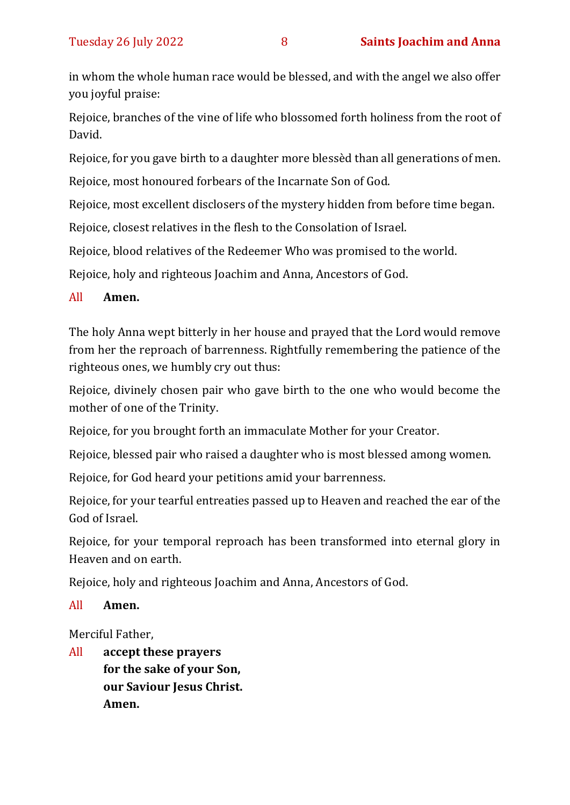in whom the whole human race would be blessed, and with the angel we also offer you joyful praise:

Rejoice, branches of the vine of life who blossomed forth holiness from the root of David.

Rejoice, for you gave birth to a daughter more blessèd than all generations of men.

Rejoice, most honoured forbears of the Incarnate Son of God.

Rejoice, most excellent disclosers of the mystery hidden from before time began.

Rejoice, closest relatives in the flesh to the Consolation of Israel.

Rejoice, blood relatives of the Redeemer Who was promised to the world.

Rejoice, holy and righteous Joachim and Anna, Ancestors of God.

#### All **Amen.**

The holy Anna wept bitterly in her house and prayed that the Lord would remove from her the reproach of barrenness. Rightfully remembering the patience of the righteous ones, we humbly cry out thus:

Rejoice, divinely chosen pair who gave birth to the one who would become the mother of one of the Trinity.

Rejoice, for you brought forth an immaculate Mother for your Creator.

Rejoice, blessed pair who raised a daughter who is most blessed among women.

Rejoice, for God heard your petitions amid your barrenness.

Rejoice, for your tearful entreaties passed up to Heaven and reached the ear of the God of Israel.

Rejoice, for your temporal reproach has been transformed into eternal glory in Heaven and on earth.

Rejoice, holy and righteous Joachim and Anna, Ancestors of God.

All **Amen.**

Merciful Father,

All **accept these prayers for the sake of your Son, our Saviour Jesus Christ. Amen.**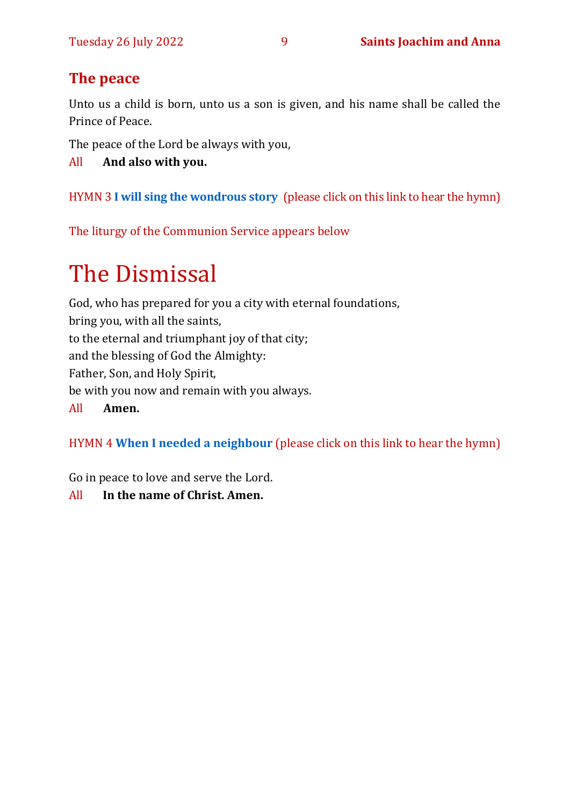# **The peace**

Unto us a child is born, unto us a son is given, and his name shall be called the Prince of Peace.

The peace of the Lord be always with you,

All **And also with you.**

HYMN 3 **[I will sing the wondrous story](https://youtu.be/HQLLcxbOH4A)** (please click on this link to hear the hymn)

The liturgy of the Communion Service appears below

# The Dismissal

God, who has prepared for you a city with eternal foundations, bring you, with all the saints, to the eternal and triumphant joy of that city; and the blessing of God the Almighty: Father, Son, and Holy Spirit, be with you now and remain with you always. All **Amen.**

HYMN 4 **[When I needed a neighbour](https://youtu.be/r4m1k3xoqZk)** (please click on this link to hear the hymn)

Go in peace to love and serve the Lord.

All **In the name of Christ. Amen.**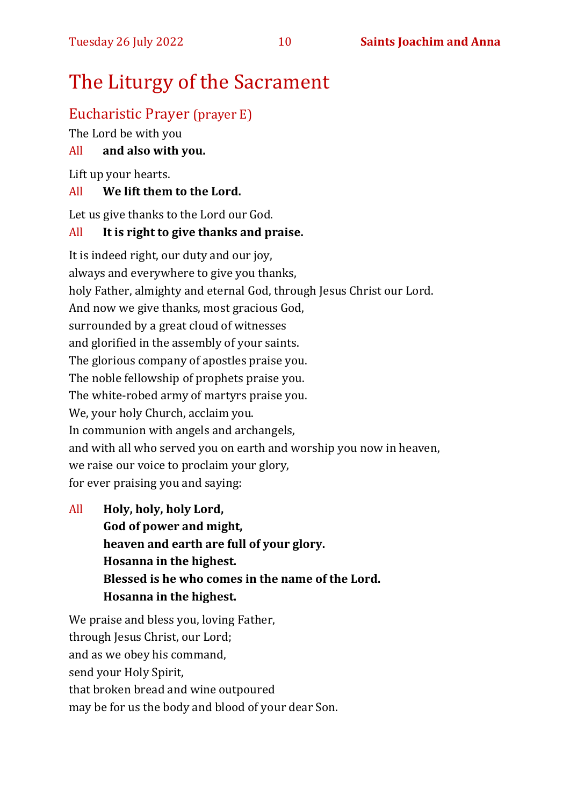# The Liturgy of the Sacrament

# Eucharistic Prayer (prayer E)

The Lord be with you

### All **and also with you.**

Lift up your hearts.

#### All **We lift them to the Lord.**

Let us give thanks to the Lord our God.

#### All **It is right to give thanks and praise.**

It is indeed right, our duty and our joy, always and everywhere to give you thanks, holy Father, almighty and eternal God, through Jesus Christ our Lord. And now we give thanks, most gracious God, surrounded by a great cloud of witnesses and glorified in the assembly of your saints. The glorious company of apostles praise you. The noble fellowship of prophets praise you. The white-robed army of martyrs praise you. We, your holy Church, acclaim you. In communion with angels and archangels, and with all who served you on earth and worship you now in heaven, we raise our voice to proclaim your glory, for ever praising you and saying:

All **Holy, holy, holy Lord, God of power and might, heaven and earth are full of your glory. Hosanna in the highest. Blessed is he who comes in the name of the Lord. Hosanna in the highest.**

We praise and bless you, loving Father, through Jesus Christ, our Lord; and as we obey his command, send your Holy Spirit, that broken bread and wine outpoured may be for us the body and blood of your dear Son.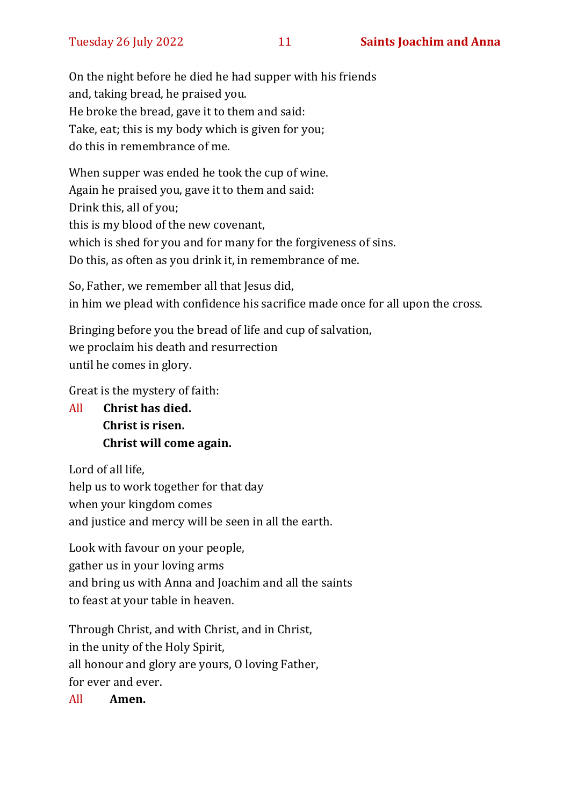On the night before he died he had supper with his friends and, taking bread, he praised you. He broke the bread, gave it to them and said: Take, eat; this is my body which is given for you; do this in remembrance of me.

When supper was ended he took the cup of wine. Again he praised you, gave it to them and said: Drink this, all of you; this is my blood of the new covenant, which is shed for you and for many for the forgiveness of sins. Do this, as often as you drink it, in remembrance of me.

So, Father, we remember all that Jesus did, in him we plead with confidence his sacrifice made once for all upon the cross.

Bringing before you the bread of life and cup of salvation, we proclaim his death and resurrection until he comes in glory.

Great is the mystery of faith:

All **Christ has died. Christ is risen. Christ will come again.**

Lord of all life, help us to work together for that day when your kingdom comes and justice and mercy will be seen in all the earth.

Look with favour on your people, gather us in your loving arms and bring us with Anna and Joachim and all the saints to feast at your table in heaven.

Through Christ, and with Christ, and in Christ, in the unity of the Holy Spirit, all honour and glory are yours, O loving Father, for ever and ever.

All **Amen.**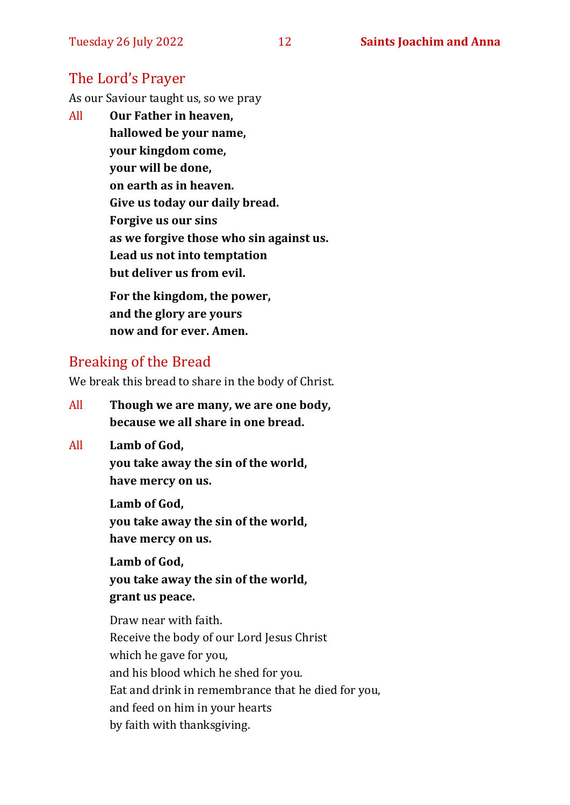# The Lord's Prayer

As our Saviour taught us, so we pray

All **Our Father in heaven, hallowed be your name, your kingdom come, your will be done, on earth as in heaven. Give us today our daily bread. Forgive us our sins as we forgive those who sin against us. Lead us not into temptation but deliver us from evil. For the kingdom, the power,** 

**and the glory are yours now and for ever. Amen.**

## Breaking of the Bread

We break this bread to share in the body of Christ.

- All **Though we are many, we are one body, because we all share in one bread.**
- All **Lamb of God,**

**you take away the sin of the world, have mercy on us.**

**Lamb of God, you take away the sin of the world, have mercy on us.**

**Lamb of God, you take away the sin of the world, grant us peace.**

Draw near with faith. Receive the body of our Lord Jesus Christ which he gave for you, and his blood which he shed for you. Eat and drink in remembrance that he died for you, and feed on him in your hearts by faith with thanksgiving.